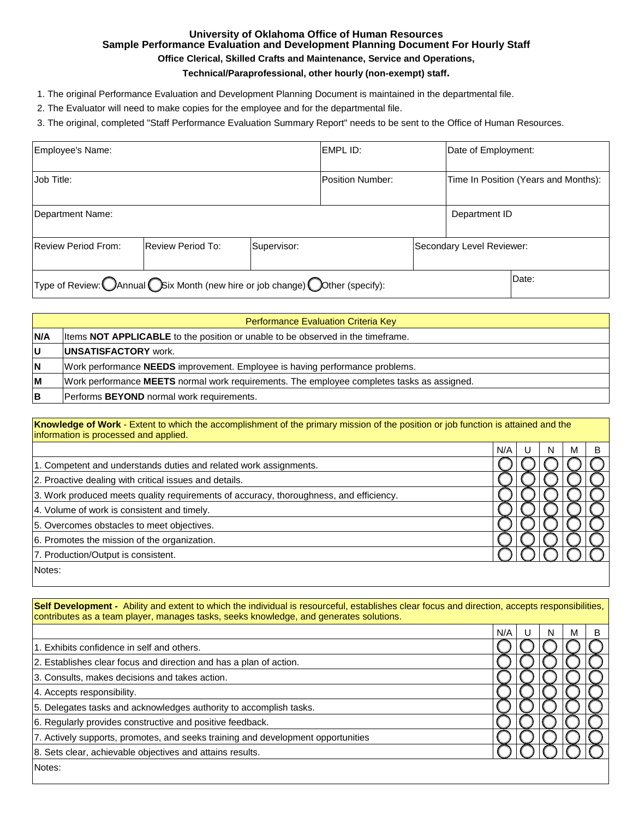# **University of Oklahoma Office of Human Resources Sample Performance Evaluation and Development Planning Document For Hourly Staff**

## **Office Clerical, Skilled Crafts and Maintenance, Service and Operations,**

## **Technical/Paraprofessional, other hourly (non-exempt) staff.**

1. The original Performance Evaluation and Development Planning Document is maintained in the departmental file.

2. The Evaluator will need to make copies for the employee and for the departmental file.

3. The original, completed "Staff Performance Evaluation Summary Report" needs to be sent to the Office of Human Resources.

| Employee's Name:           |                                                                               |             | EMPL ID:                | Date of Employment:       |                                      |
|----------------------------|-------------------------------------------------------------------------------|-------------|-------------------------|---------------------------|--------------------------------------|
| Job Title:                 |                                                                               |             | <b>Position Number:</b> |                           | Time In Position (Years and Months): |
| Department Name:           |                                                                               |             |                         | Department ID             |                                      |
| <b>Review Period From:</b> | <b>Review Period To:</b>                                                      | Supervisor: |                         | Secondary Level Reviewer: |                                      |
|                            | Type of Review: OAnnual OSix Month (new hire or job change) Oother (specify): |             |                         |                           | Date:                                |

|            | Performance Evaluation Criteria Key                                                        |  |  |
|------------|--------------------------------------------------------------------------------------------|--|--|
| <b>N/A</b> | litems <b>NOT APPLICABLE</b> to the position or unable to be observed in the timeframe.    |  |  |
| lU         | <b>IUNSATISFACTORY</b> work.                                                               |  |  |
| ΙN         | Work performance <b>NEEDS</b> improvement. Employee is having performance problems.        |  |  |
| lМ         | Work performance MEETS normal work requirements. The employee completes tasks as assigned. |  |  |
| lВ         | Performs BEYOND normal work requirements.                                                  |  |  |

**Knowledge of Work** - Extent to which the accomplishment of the primary mission of the position or job function is attained and the information is processed and applied.

|                                                                                        | N/A | N | м |  |
|----------------------------------------------------------------------------------------|-----|---|---|--|
| 1. Competent and understands duties and related work assignments.                      |     |   |   |  |
| 2. Proactive dealing with critical issues and details.                                 |     |   |   |  |
| 3. Work produced meets quality requirements of accuracy, thoroughness, and efficiency. |     |   |   |  |
| 4. Volume of work is consistent and timely.                                            |     |   |   |  |
| 5. Overcomes obstacles to meet objectives.                                             |     |   |   |  |
| 6. Promotes the mission of the organization.                                           |     |   |   |  |
| 7. Production/Output is consistent.                                                    |     |   |   |  |
| Notes:                                                                                 |     |   |   |  |
|                                                                                        |     |   |   |  |

Self Development - Ability and extent to which the individual is resourceful, establishes clear focus and direction, accepts responsibilities, contributes as a team player, manages tasks, seeks knowledge, and generates solutions.

|                                                                                  | N/A |  |  |
|----------------------------------------------------------------------------------|-----|--|--|
| 1. Exhibits confidence in self and others.                                       |     |  |  |
| 2. Establishes clear focus and direction and has a plan of action.               |     |  |  |
| 3. Consults, makes decisions and takes action.                                   |     |  |  |
| 4. Accepts responsibility.                                                       |     |  |  |
| 5. Delegates tasks and acknowledges authority to accomplish tasks.               |     |  |  |
| 6. Regularly provides constructive and positive feedback.                        |     |  |  |
| 7. Actively supports, promotes, and seeks training and development opportunities |     |  |  |
| 8. Sets clear, achievable objectives and attains results.                        |     |  |  |
| Notes:                                                                           |     |  |  |
|                                                                                  |     |  |  |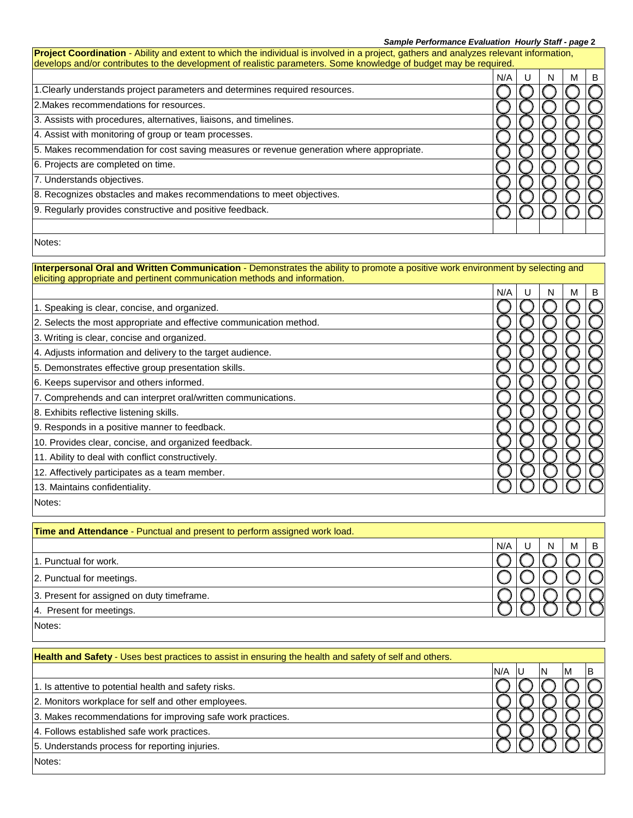### *Sample Performance Evaluation Hourly Staff - page* **2**

| develops and/or contributes to the development of realistic parameters. Some knowledge of budget may be required.                                                                                             | N/A | U | N | м | B |
|---------------------------------------------------------------------------------------------------------------------------------------------------------------------------------------------------------------|-----|---|---|---|---|
| 1. Clearly understands project parameters and determines required resources.                                                                                                                                  |     |   |   |   |   |
| 2. Makes recommendations for resources.                                                                                                                                                                       |     |   |   |   |   |
| 3. Assists with procedures, alternatives, liaisons, and timelines.                                                                                                                                            |     |   |   |   |   |
| 4. Assist with monitoring of group or team processes.                                                                                                                                                         |     |   |   |   |   |
| 5. Makes recommendation for cost saving measures or revenue generation where appropriate.                                                                                                                     |     |   |   |   |   |
| 6. Projects are completed on time.                                                                                                                                                                            |     |   |   |   |   |
| 7. Understands objectives.                                                                                                                                                                                    |     |   |   |   |   |
| 8. Recognizes obstacles and makes recommendations to meet objectives.                                                                                                                                         |     |   |   |   |   |
| 9. Regularly provides constructive and positive feedback.                                                                                                                                                     |     |   |   |   |   |
| Notes:                                                                                                                                                                                                        |     |   |   |   |   |
| Interpersonal Oral and Written Communication - Demonstrates the ability to promote a positive work environment by selecting and<br>eliciting appropriate and pertinent communication methods and information. | N/A | U | N | М | B |
| 1. Speaking is clear, concise, and organized.                                                                                                                                                                 |     |   |   |   |   |
| 2. Selects the most appropriate and effective communication method.                                                                                                                                           |     |   |   |   |   |
| 3. Writing is clear, concise and organized.                                                                                                                                                                   |     |   |   |   |   |
| 4. Adjusts information and delivery to the target audience.                                                                                                                                                   |     |   |   |   |   |
| 5. Demonstrates effective group presentation skills.                                                                                                                                                          |     |   |   |   |   |
| 6. Keeps supervisor and others informed.                                                                                                                                                                      |     |   |   |   |   |
| 7. Comprehends and can interpret oral/written communications.                                                                                                                                                 |     |   |   |   |   |
| 8. Exhibits reflective listening skills.                                                                                                                                                                      |     |   |   |   |   |
| 9. Responds in a positive manner to feedback.                                                                                                                                                                 |     |   |   |   |   |
| 10. Provides clear, concise, and organized feedback.                                                                                                                                                          |     |   |   |   |   |
| 11. Ability to deal with conflict constructively.                                                                                                                                                             |     |   |   |   |   |
| 12. Affectively participates as a team member.                                                                                                                                                                |     |   |   |   |   |
| 13. Maintains confidentiality.                                                                                                                                                                                |     |   |   |   |   |
| Notes:                                                                                                                                                                                                        |     |   |   |   |   |
| Time and Attendance - Punctual and present to perform assigned work load.                                                                                                                                     |     |   |   |   |   |
|                                                                                                                                                                                                               | N/A | U | Ν | М | B |
| 1. Punctual for work.                                                                                                                                                                                         |     |   |   |   |   |
| 2. Punctual for meetings.                                                                                                                                                                                     |     |   |   |   |   |
| 3. Present for assigned on duty timeframe.                                                                                                                                                                    |     |   |   |   |   |
| 4. Present for meetings.                                                                                                                                                                                      |     |   |   |   |   |
| Notes:                                                                                                                                                                                                        |     |   |   |   |   |
| Health and Safety - Uses best practices to assist in ensuring the health and safety of self and others.                                                                                                       |     |   |   |   |   |
| 1. Is attentive to potential health and safety risks.                                                                                                                                                         | N/A | U | N | M | В |
|                                                                                                                                                                                                               |     |   |   |   |   |
| 2. Monitors workplace for self and other employees.                                                                                                                                                           |     |   |   |   |   |
| 3. Makes recommendations for improving safe work practices.                                                                                                                                                   |     |   |   |   |   |
|                                                                                                                                                                                                               |     |   |   |   |   |
| 4. Follows established safe work practices.<br>5. Understands process for reporting injuries.                                                                                                                 |     |   |   |   |   |